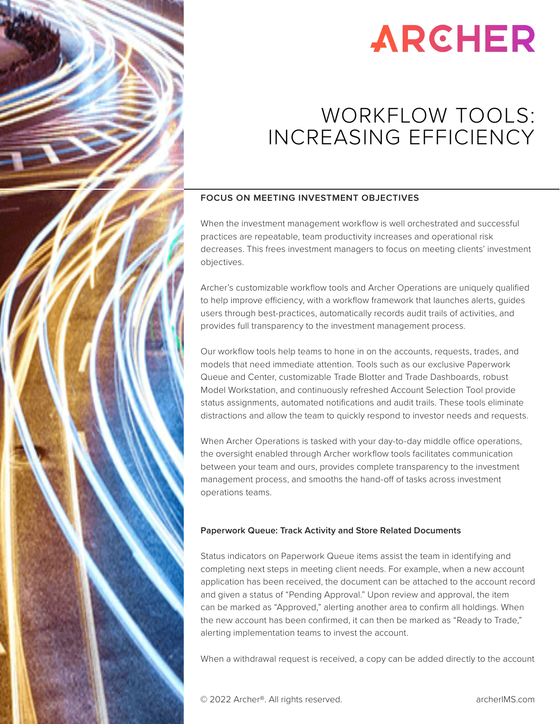

# **ARCHER**

# WORKFLOW TOOLS: INCREASING EFFICIENCY

## **FOCUS ON MEETING INVESTMENT OBJECTIVES**

When the investment management workflow is well orchestrated and successful practices are repeatable, team productivity increases and operational risk decreases. This frees investment managers to focus on meeting clients' investment objectives.

Archer's customizable workflow tools and Archer Operations are uniquely qualified to help improve efficiency, with a workflow framework that launches alerts, guides users through best-practices, automatically records audit trails of activities, and provides full transparency to the investment management process.

Our workflow tools help teams to hone in on the accounts, requests, trades, and models that need immediate attention. Tools such as our exclusive Paperwork Queue and Center, customizable Trade Blotter and Trade Dashboards, robust Model Workstation, and continuously refreshed Account Selection Tool provide status assignments, automated notifications and audit trails. These tools eliminate distractions and allow the team to quickly respond to investor needs and requests.

When Archer Operations is tasked with your day-to-day middle office operations, the oversight enabled through Archer workflow tools facilitates communication between your team and ours, provides complete transparency to the investment management process, and smooths the hand-off of tasks across investment operations teams.

## **Paperwork Queue: Track Activity and Store Related Documents**

Status indicators on Paperwork Queue items assist the team in identifying and completing next steps in meeting client needs. For example, when a new account application has been received, the document can be attached to the account record and given a status of "Pending Approval." Upon review and approval, the item can be marked as "Approved," alerting another area to confirm all holdings. When the new account has been confirmed, it can then be marked as "Ready to Trade," alerting implementation teams to invest the account.

When a withdrawal request is received, a copy can be added directly to the account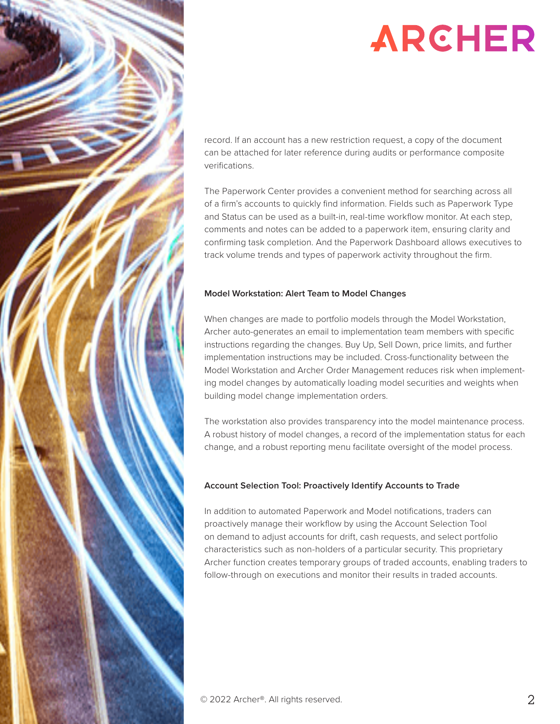

# **ARCHER**

record. If an account has a new restriction request, a copy of the document can be attached for later reference during audits or performance composite verifications.

The Paperwork Center provides a convenient method for searching across all of a firm's accounts to quickly find information. Fields such as Paperwork Type and Status can be used as a built-in, real-time workflow monitor. At each step, comments and notes can be added to a paperwork item, ensuring clarity and confirming task completion. And the Paperwork Dashboard allows executives to track volume trends and types of paperwork activity throughout the firm.

### **Model Workstation: Alert Team to Model Changes**

When changes are made to portfolio models through the Model Workstation, Archer auto-generates an email to implementation team members with specific instructions regarding the changes. Buy Up, Sell Down, price limits, and further implementation instructions may be included. Cross-functionality between the Model Workstation and Archer Order Management reduces risk when implementing model changes by automatically loading model securities and weights when building model change implementation orders.

The workstation also provides transparency into the model maintenance process. A robust history of model changes, a record of the implementation status for each change, and a robust reporting menu facilitate oversight of the model process.

## **Account Selection Tool: Proactively Identify Accounts to Trade**

In addition to automated Paperwork and Model notifications, traders can proactively manage their workflow by using the Account Selection Tool on demand to adjust accounts for drift, cash requests, and select portfolio characteristics such as non-holders of a particular security. This proprietary Archer function creates temporary groups of traded accounts, enabling traders to follow-through on executions and monitor their results in traded accounts.

© 2022 Archer®. All rights reserved.